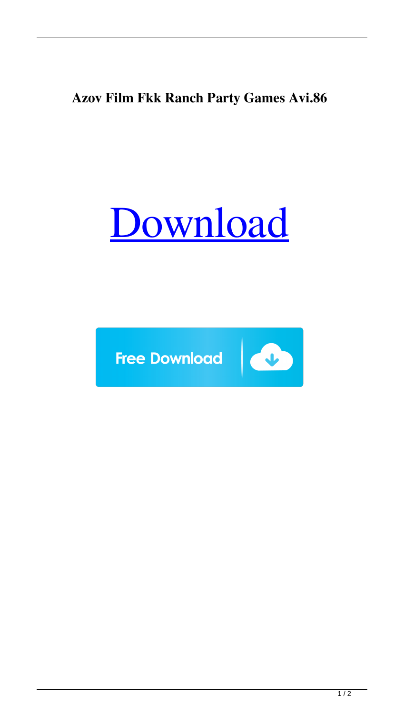## **Azov Film Fkk Ranch Party Games Avi.86**

## [Download](http://evacdir.com/beguiling.YXpvdiBmaWxtIGZrayByYW5jaCBwYXJ0eSBnYW1lcyBhdmkuODYYXp/brookside/interplak/ZG93bmxvYWR8VnM0Tm1NMmZId3hOalV5TkRZek1EVXdmSHd5TlRjMGZId29UU2tnY21WaFpDMWliRzluSUZ0R1lYTjBJRWRGVGww/vertigo=rate)